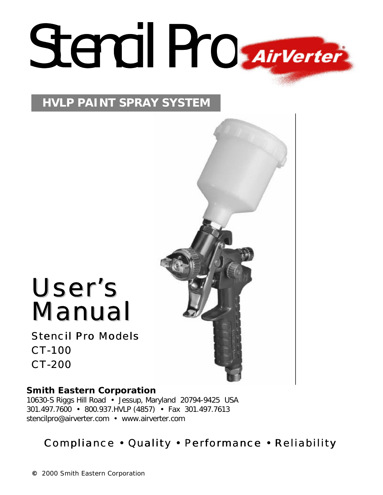# Stencil Pro *Airverter*

#### **HVLP PAINT SPRAY SYSTEM**

## User's Manual

Stencil Pro Models CT-100 CT-200

#### **Smith Eastern Corporation**

10630-S Riggs Hill Road • Jessup, Maryland 20794-9425 USA 301.497.7600 • 800.937.HVLP (4857) • Fax 301.497.7613 stencilpro@airverter.com • www.airverter.com

### Compliance • Quality • Performance • Reliability

**©** 2000 Smith Eastern Corporation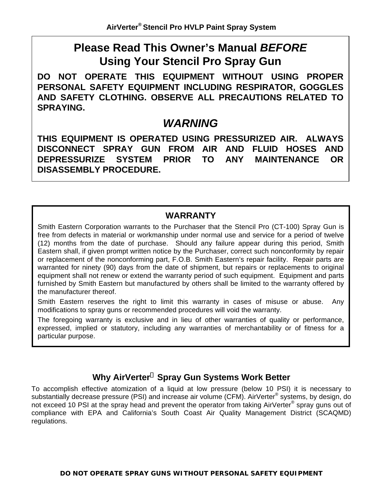#### **Please Read This Owner's Manual** *BEFORE* **Using Your Stencil Pro Spray Gun**

**DO NOT OPERATE THIS EQUIPMENT WITHOUT USING PROPER PERSONAL SAFETY EQUIPMENT INCLUDING RESPIRATOR, GOGGLES AND SAFETY CLOTHING. OBSERVE ALL PRECAUTIONS RELATED TO SPRAYING.**

#### *WARNING*

**THIS EQUIPMENT IS OPERATED USING PRESSURIZED AIR. ALWAYS DISCONNECT SPRAY GUN FROM AIR AND FLUID HOSES AND DEPRESSURIZE SYSTEM PRIOR TO ANY MAINTENANCE OR DISASSEMBLY PROCEDURE.**

#### **WARRANTY**

Smith Eastern Corporation warrants to the Purchaser that the Stencil Pro (CT-100) Spray Gun is free from defects in material or workmanship under normal use and service for a period of twelve (12) months from the date of purchase. Should any failure appear during this period, Smith Eastern shall, if given prompt written notice by the Purchaser, correct such nonconformity by repair or replacement of the nonconforming part, F.O.B. Smith Eastern's repair facility. Repair parts are warranted for ninety (90) days from the date of shipment, but repairs or replacements to original equipment shall not renew or extend the warranty period of such equipment. Equipment and parts furnished by Smith Eastern but manufactured by others shall be limited to the warranty offered by the manufacturer thereof.

Smith Eastern reserves the right to limit this warranty in cases of misuse or abuse. Any modifications to spray guns or recommended procedures will void the warranty.

The foregoing warranty is exclusive and in lieu of other warranties of quality or performance, expressed, implied or statutory, including any warranties of merchantability or of fitness for a particular purpose.

#### **Why AirVerter Spray Gun Systems Work Better**

To accomplish effective atomization of a liquid at low pressure (below 10 PSI) it is necessary to substantially decrease pressure (PSI) and increase air volume (CFM). AirVerter® systems, by design, do not exceed 10 PSI at the spray head and prevent the operator from taking AirVerter® spray guns out of compliance with EPA and California's South Coast Air Quality Management District (SCAQMD) regulations.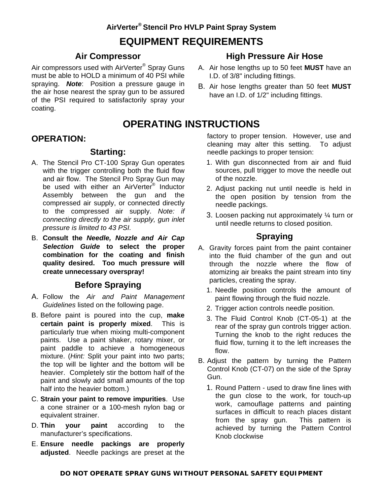#### **AirVerter® Stencil Pro HVLP Paint Spray System EQUIPMENT REQUIREMENTS**

#### **Air Compressor**

Air compressors used with AirVerter® Spray Guns must be able to HOLD a minimum of 40 PSI while spraying.*Note*: Position a pressure gauge in the air hose nearest the spray gun to be assured of the PSI required to satisfactorily spray your coating.

#### **High Pressure Air Hose**

- A. Air hose lengths up to 50 feet **MUST** have an I.D. of 3/8" including fittings.
- B. Air hose lengths greater than 50 feet **MUST** have an I.D. of 1/2" including fittings.

#### **OPERATING INSTRUCTIONS**

#### **OPERATION:**

#### **Starting:**

- A. The Stencil Pro CT-100 Spray Gun operates with the trigger controlling both the fluid flow and air flow. The Stencil Pro Spray Gun may be used with either an AirVerter<sup>®</sup> Inductor Assembly between the gun and the compressed air supply, or connected directly to the compressed air supply. *Note: if connecting directly to the air supply, gun inlet pressure is limited to 43 PSI.*
- B. **Consult the** *Needle, Nozzle and Air Cap Selection Guide* **to select the proper combination for the coating and finish quality desired. Too much pressure will create unnecessary overspray!**

#### **Before Spraying**

- A. Follow the *Air and Paint Management Guidelines* listed on the following page.
- B. Before paint is poured into the cup, **make certain paint is properly mixed**. This is particularly true when mixing multi-component paints. Use a paint shaker, rotary mixer, or paint paddle to achieve a homogeneous mixture. (*Hint:* Split your paint into two parts; the top will be lighter and the bottom will be heavier. Completely stir the bottom half of the paint and slowly add small amounts of the top half into the heavier bottom.)
- C. **Strain your paint to remove impurities**. Use a cone strainer or a 100-mesh nylon bag or equivalent strainer.
- D. **Thin your paint** according to the manufacturer's specifications.
- E. **Ensure needle packings are properly adjusted**. Needle packings are preset at the

factory to proper tension. However, use and cleaning may alter this setting. To adjust needle packings to proper tension:

- 1. With gun disconnected from air and fluid sources, pull trigger to move the needle out of the nozzle.
- 2. Adjust packing nut until needle is held in the open position by tension from the needle packings.
- 3. Loosen packing nut approximately ¼ turn or until needle returns to closed position.

#### **Spraying**

- A. Gravity forces paint from the paint container into the fluid chamber of the gun and out through the nozzle where the flow of atomizing air breaks the paint stream into tiny particles, creating the spray.
	- 1. Needle position controls the amount of paint flowing through the fluid nozzle.
	- 2. Trigger action controls needle position.
	- 3. The Fluid Control Knob (CT-05-1) at the rear of the spray gun controls trigger action. Turning the knob to the right reduces the fluid flow, turning it to the left increases the flow.
- B. Adjust the pattern by turning the Pattern Control Knob (CT-07) on the side of the Spray Gun.
	- 1. Round Pattern used to draw fine lines with the gun close to the work, for touch-up work, camouflage patterns and painting surfaces in difficult to reach places distant from the spray gun. This pattern is achieved by turning the Pattern Control Knob clockwise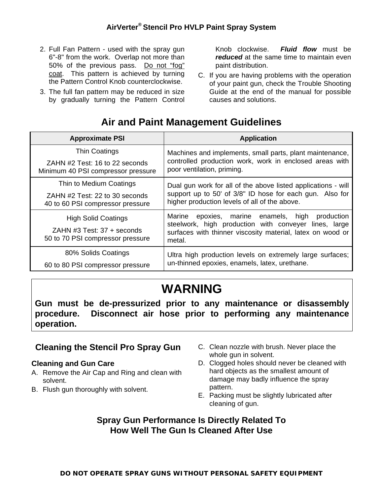- 2. Full Fan Pattern used with the spray gun 6"-8" from the work. Overlap not more than 50% of the previous pass. Do not "fog" coat. This pattern is achieved by turning the Pattern Control Knob counterclockwise.
- 3. The full fan pattern may be reduced in size by gradually turning the Pattern Control

Knob clockwise. *Fluid flow* must be *reduced* at the same time to maintain even paint distribution.

C. If you are having problems with the operation of your paint gun, check the Trouble Shooting Guide at the end of the manual for possible causes and solutions.

#### **Air and Paint Management Guidelines**

| <b>Approximate PSI</b>                                                                       | <b>Application</b>                                                                                                                                                                  |
|----------------------------------------------------------------------------------------------|-------------------------------------------------------------------------------------------------------------------------------------------------------------------------------------|
| <b>Thin Coatings</b>                                                                         | Machines and implements, small parts, plant maintenance,                                                                                                                            |
| ZAHN #2 Test: 16 to 22 seconds<br>Minimum 40 PSI compressor pressure                         | controlled production work, work in enclosed areas with<br>poor ventilation, priming.                                                                                               |
| Thin to Medium Coatings                                                                      | Dual gun work for all of the above listed applications - will                                                                                                                       |
| ZAHN #2 Test: 22 to 30 seconds<br>40 to 60 PSI compressor pressure                           | support up to 50' of 3/8" ID hose for each gun. Also for<br>higher production levels of all of the above.                                                                           |
| <b>High Solid Coatings</b><br>ZAHN #3 Test: 37 + seconds<br>50 to 70 PSI compressor pressure | epoxies, marine enamels, high production<br>Marine<br>steelwork, high production with conveyer lines, large<br>surfaces with thinner viscosity material, latex on wood or<br>metal. |
| 80% Solids Coatings                                                                          | Ultra high production levels on extremely large surfaces;                                                                                                                           |
| 60 to 80 PSI compressor pressure                                                             | un-thinned epoxies, enamels, latex, urethane.                                                                                                                                       |

### **WARNING**

**Gun must be de-pressurized prior to any maintenance or disassembly procedure. Disconnect air hose prior to performing any maintenance operation.**

#### **Cleaning the Stencil Pro Spray Gun**

#### **Cleaning and Gun Care**

- A. Remove the Air Cap and Ring and clean with solvent.
- B. Flush gun thoroughly with solvent.
- C. Clean nozzle with brush. Never place the whole gun in solvent.
- D. Clogged holes should never be cleaned with hard objects as the smallest amount of damage may badly influence the spray pattern.
- E. Packing must be slightly lubricated after cleaning of gun.

#### **Spray Gun Performance Is Directly Related To How Well The Gun Is Cleaned After Use**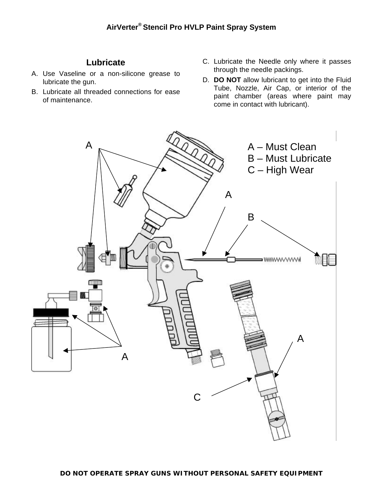#### **Lubricate**

- A. Use Vaseline or a non-silicone grease to lubricate the gun.
- B. Lubricate all threaded connections for ease of maintenance.
- C. Lubricate the Needle only where it passes through the needle packings.
- D. **DO NOT** allow lubricant to get into the Fluid Tube, Nozzle, Air Cap, or interior of the paint chamber (areas where paint may come in contact with lubricant).

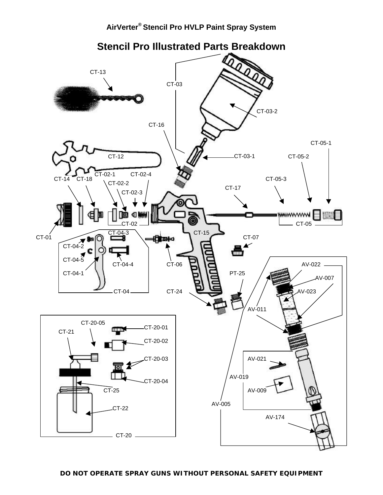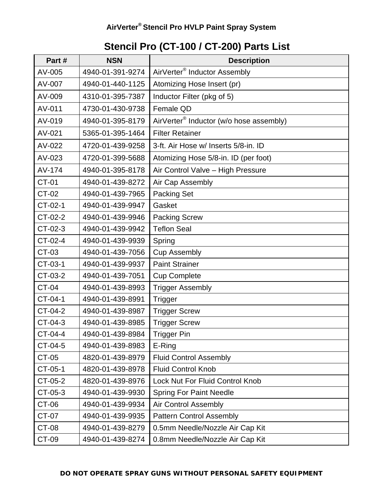#### **Stencil Pro (CT-100 / CT-200) Parts List**

| Part#        | <b>NSN</b>       | <b>Description</b>                                  |
|--------------|------------------|-----------------------------------------------------|
| AV-005       | 4940-01-391-9274 | AirVerter <sup>®</sup> Inductor Assembly            |
| AV-007       | 4940-01-440-1125 | Atomizing Hose Insert (pr)                          |
| AV-009       | 4310-01-395-7387 | Inductor Filter (pkg of 5)                          |
| AV-011       | 4730-01-430-9738 | Female QD                                           |
| AV-019       | 4940-01-395-8179 | AirVerter <sup>®</sup> Inductor (w/o hose assembly) |
| AV-021       | 5365-01-395-1464 | <b>Filter Retainer</b>                              |
| AV-022       | 4720-01-439-9258 | 3-ft. Air Hose w/ Inserts 5/8-in. ID                |
| AV-023       | 4720-01-399-5688 | Atomizing Hose 5/8-in. ID (per foot)                |
| AV-174       | 4940-01-395-8178 | Air Control Valve - High Pressure                   |
| <b>CT-01</b> | 4940-01-439-8272 | Air Cap Assembly                                    |
| CT-02        | 4940-01-439-7965 | <b>Packing Set</b>                                  |
| CT-02-1      | 4940-01-439-9947 | Gasket                                              |
| CT-02-2      | 4940-01-439-9946 | <b>Packing Screw</b>                                |
| CT-02-3      | 4940-01-439-9942 | <b>Teflon Seal</b>                                  |
| CT-02-4      | 4940-01-439-9939 | Spring                                              |
| CT-03        | 4940-01-439-7056 | <b>Cup Assembly</b>                                 |
| CT-03-1      | 4940-01-439-9937 | <b>Paint Strainer</b>                               |
| CT-03-2      | 4940-01-439-7051 | <b>Cup Complete</b>                                 |
| <b>CT-04</b> | 4940-01-439-8993 | <b>Trigger Assembly</b>                             |
| CT-04-1      | 4940-01-439-8991 | <b>Trigger</b>                                      |
| CT-04-2      | 4940-01-439-8987 | <b>Trigger Screw</b>                                |
| CT-04-3      | 4940-01-439-8985 | <b>Trigger Screw</b>                                |
| CT-04-4      | 4940-01-439-8984 | <b>Trigger Pin</b>                                  |
| CT-04-5      | 4940-01-439-8983 | E-Ring                                              |
| CT-05        | 4820-01-439-8979 | <b>Fluid Control Assembly</b>                       |
| CT-05-1      | 4820-01-439-8978 | <b>Fluid Control Knob</b>                           |
| CT-05-2      | 4820-01-439-8976 | <b>Lock Nut For Fluid Control Knob</b>              |
| CT-05-3      | 4940-01-439-9930 | <b>Spring For Paint Needle</b>                      |
| CT-06        | 4940-01-439-9934 | <b>Air Control Assembly</b>                         |
| CT-07        | 4940-01-439-9935 | <b>Pattern Control Assembly</b>                     |
| <b>CT-08</b> | 4940-01-439-8279 | 0.5mm Needle/Nozzle Air Cap Kit                     |
| CT-09        | 4940-01-439-8274 | 0.8mm Needle/Nozzle Air Cap Kit                     |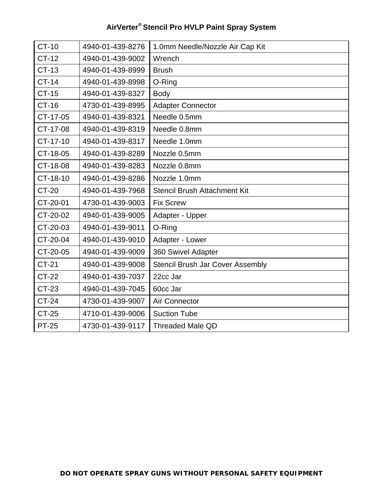| <b>CT-10</b> | 4940-01-439-8276 | 1.0mm Needle/Nozzle Air Cap Kit         |
|--------------|------------------|-----------------------------------------|
| <b>CT-12</b> | 4940-01-439-9002 | Wrench                                  |
| <b>CT-13</b> | 4940-01-439-8999 | <b>Brush</b>                            |
| <b>CT-14</b> | 4940-01-439-8998 | O-Ring                                  |
| <b>CT-15</b> | 4940-01-439-8327 | <b>Body</b>                             |
| <b>CT-16</b> | 4730-01-439-8995 | <b>Adapter Connector</b>                |
| CT-17-05     | 4940-01-439-8321 | Needle 0.5mm                            |
| CT-17-08     | 4940-01-439-8319 | Needle 0.8mm                            |
| CT-17-10     | 4940-01-439-8317 | Needle 1.0mm                            |
| CT-18-05     | 4940-01-439-8289 | Nozzle 0.5mm                            |
| CT-18-08     | 4940-01-439-8283 | Nozzle 0.8mm                            |
| CT-18-10     | 4940-01-439-8286 | Nozzle 1.0mm                            |
| <b>CT-20</b> | 4940-01-439-7968 | <b>Stencil Brush Attachment Kit</b>     |
| CT-20-01     | 4730-01-439-9003 | <b>Fix Screw</b>                        |
| CT-20-02     | 4940-01-439-9005 | Adapter - Upper                         |
| CT-20-03     | 4940-01-439-9011 | O-Ring                                  |
| CT-20-04     | 4940-01-439-9010 | Adapter - Lower                         |
| CT-20-05     | 4940-01-439-9009 | 360 Swivel Adapter                      |
| <b>CT-21</b> | 4940-01-439-9008 | <b>Stencil Brush Jar Cover Assembly</b> |
| <b>CT-22</b> | 4940-01-439-7037 | 22cc Jar                                |
| CT-23        | 4940-01-439-7045 | 60cc Jar                                |
| <b>CT-24</b> | 4730-01-439-9007 | Air Connector                           |
| <b>CT-25</b> | 4710-01-439-9006 | <b>Suction Tube</b>                     |
| <b>PT-25</b> | 4730-01-439-9117 | <b>Threaded Male QD</b>                 |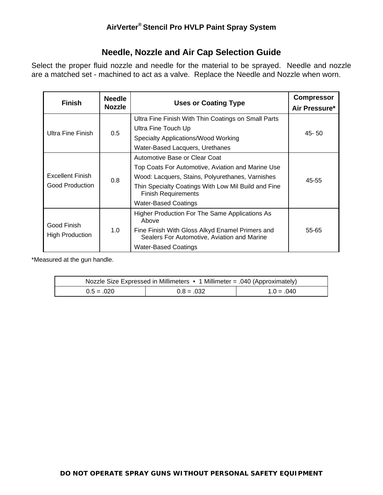#### **Needle, Nozzle and Air Cap Selection Guide**

Select the proper fluid nozzle and needle for the material to be sprayed. Needle and nozzle are a matched set - machined to act as a valve. Replace the Needle and Nozzle when worn.

| <b>Finish</b>                                                                                                                                                                                                                                                                                                   | <b>Needle</b><br><b>Nozzle</b> | <b>Uses or Coating Type</b>                                                                                                                                                       | <b>Compressor</b><br>Air Pressure* |
|-----------------------------------------------------------------------------------------------------------------------------------------------------------------------------------------------------------------------------------------------------------------------------------------------------------------|--------------------------------|-----------------------------------------------------------------------------------------------------------------------------------------------------------------------------------|------------------------------------|
|                                                                                                                                                                                                                                                                                                                 | 0.5                            | Ultra Fine Finish With Thin Coatings on Small Parts<br>Ultra Fine Touch Up                                                                                                        |                                    |
| Ultra Fine Finish                                                                                                                                                                                                                                                                                               |                                | Specialty Applications/Wood Working<br>Water-Based Lacquers, Urethanes                                                                                                            | $45 - 50$                          |
| Automotive Base or Clear Coat<br>Top Coats For Automotive, Aviation and Marine Use<br><b>Excellent Finish</b><br>Wood: Lacquers, Stains, Polyurethanes, Varnishes<br>0.8<br>Good Production<br>Thin Specialty Coatings With Low Mil Build and Fine<br><b>Finish Requirements</b><br><b>Water-Based Coatings</b> |                                | 45-55                                                                                                                                                                             |                                    |
| Good Finish<br>1.0<br><b>High Production</b>                                                                                                                                                                                                                                                                    |                                | Higher Production For The Same Applications As<br>Above<br>Fine Finish With Gloss Alkyd Enamel Primers and<br>Sealers For Automotive, Aviation and Marine<br>Water-Based Coatings | 55-65                              |

\*Measured at the gun handle.

| Nozzle Size Expressed in Millimeters $\bullet$ 1 Millimeter = .040 (Approximately) |              |              |  |
|------------------------------------------------------------------------------------|--------------|--------------|--|
| $0.5 = .020$                                                                       | $0.8 = .032$ | $1.0 = .040$ |  |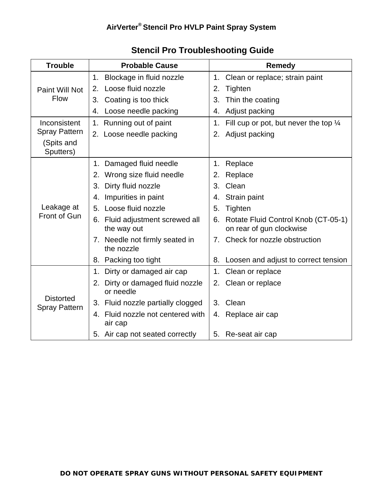| <b>Trouble</b>                           | <b>Probable Cause</b>                            | <b>Remedy</b>                                                         |
|------------------------------------------|--------------------------------------------------|-----------------------------------------------------------------------|
|                                          | Blockage in fluid nozzle<br>1.                   | 1. Clean or replace; strain paint                                     |
| Paint Will Not                           | Loose fluid nozzle<br>2.                         | 2.<br>Tighten                                                         |
| <b>Flow</b>                              | Coating is too thick<br>3.                       | 3.<br>Thin the coating                                                |
|                                          | Loose needle packing<br>4.                       | Adjust packing<br>4.                                                  |
| Inconsistent                             | 1. Running out of paint                          | Fill cup or pot, but never the top $\frac{1}{4}$<br>1.                |
| <b>Spray Pattern</b>                     | 2. Loose needle packing                          | Adjust packing<br>2.                                                  |
| (Spits and<br>Sputters)                  |                                                  |                                                                       |
|                                          | 1. Damaged fluid needle                          | Replace<br>1.                                                         |
|                                          | 2. Wrong size fluid needle                       | Replace<br>2.                                                         |
|                                          | Dirty fluid nozzle<br>3.                         | Clean<br>3.                                                           |
|                                          | 4. Impurities in paint                           | Strain paint<br>4.                                                    |
| Leakage at                               | 5. Loose fluid nozzle                            | 5.<br>Tighten                                                         |
| Front of Gun                             | 6. Fluid adjustment screwed all<br>the way out   | Rotate Fluid Control Knob (CT-05-1)<br>6.<br>on rear of gun clockwise |
|                                          | 7. Needle not firmly seated in<br>the nozzle     | 7. Check for nozzle obstruction                                       |
|                                          | 8. Packing too tight                             | Loosen and adjust to correct tension<br>8.                            |
|                                          | 1. Dirty or damaged air cap                      | Clean or replace<br>1.                                                |
|                                          | Dirty or damaged fluid nozzle<br>2.<br>or needle | Clean or replace<br>2.                                                |
| <b>Distorted</b><br><b>Spray Pattern</b> | 3. Fluid nozzle partially clogged                | Clean<br>3 <sub>1</sub>                                               |
|                                          | 4. Fluid nozzle not centered with<br>air cap     | Replace air cap<br>4.                                                 |
|                                          | 5. Air cap not seated correctly                  | 5.<br>Re-seat air cap                                                 |

#### **Stencil Pro Troubleshooting Guide**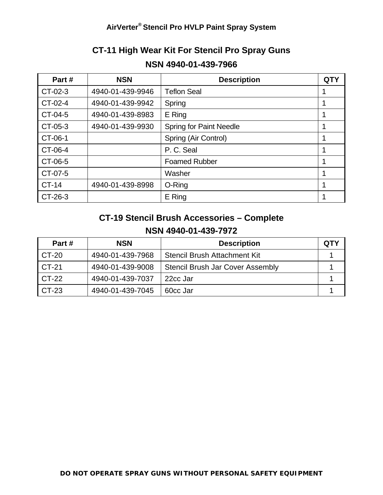#### **CT-11 High Wear Kit For Stencil Pro Spray Guns NSN 4940-01-439-7966**

| Part#        | <b>NSN</b>       | <b>Description</b>             | <b>QTY</b> |
|--------------|------------------|--------------------------------|------------|
| CT-02-3      | 4940-01-439-9946 | <b>Teflon Seal</b>             |            |
| CT-02-4      | 4940-01-439-9942 | Spring                         |            |
| CT-04-5      | 4940-01-439-8983 | E Ring                         |            |
| CT-05-3      | 4940-01-439-9930 | <b>Spring for Paint Needle</b> |            |
| CT-06-1      |                  | Spring (Air Control)           |            |
| CT-06-4      |                  | P.C. Seal                      |            |
| CT-06-5      |                  | <b>Foamed Rubber</b>           |            |
| CT-07-5      |                  | Washer                         |            |
| <b>CT-14</b> | 4940-01-439-8998 | O-Ring                         |            |
| CT-26-3      |                  | E Ring                         |            |

#### **CT-19 Stencil Brush Accessories – Complete NSN 4940-01-439-7972**

| Part# | <b>NSN</b>       | <b>Description</b>                      | <b>QTY</b> |
|-------|------------------|-----------------------------------------|------------|
| CT-20 | 4940-01-439-7968 | Stencil Brush Attachment Kit            |            |
| CT-21 | 4940-01-439-9008 | <b>Stencil Brush Jar Cover Assembly</b> |            |
| CT-22 | 4940-01-439-7037 | 22cc Jar                                |            |
| CT-23 | 4940-01-439-7045 | 60 <sub>cc</sub> Jar                    |            |